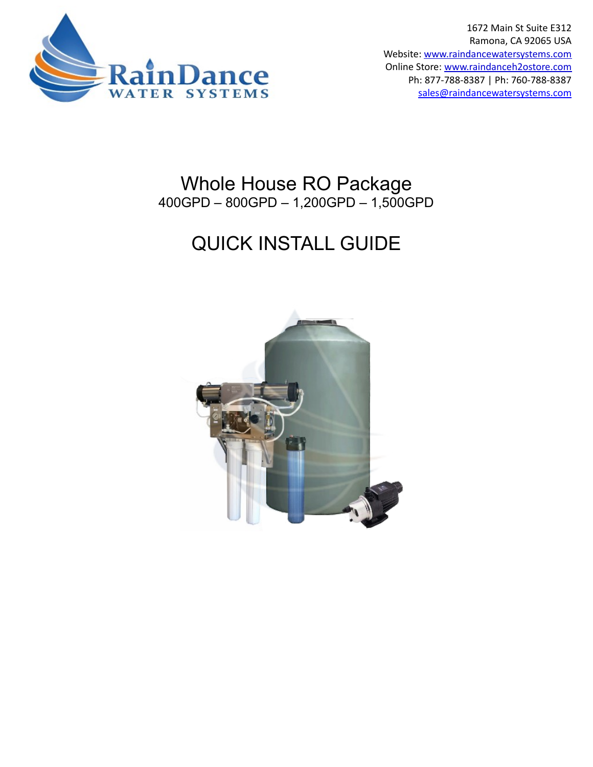

1672 Main St Suite E312 Ramona, CA 92065 USA Website: [www.raindancewatersystems.com](http://www.raindancewatersystems.com/) Online Store: [www.raindanceh2ostore.com](http://www.raindanceh2ostore.com/) Ph: 877-788-8387 | Ph: 760-788-8387 sales [@raindancewatersystems.com](mailto:sales@raindancewatersystems.com)

## Whole House RO Package 400GPD – 800GPD – 1,200GPD – 1,500GPD

# QUICK INSTALL GUIDE

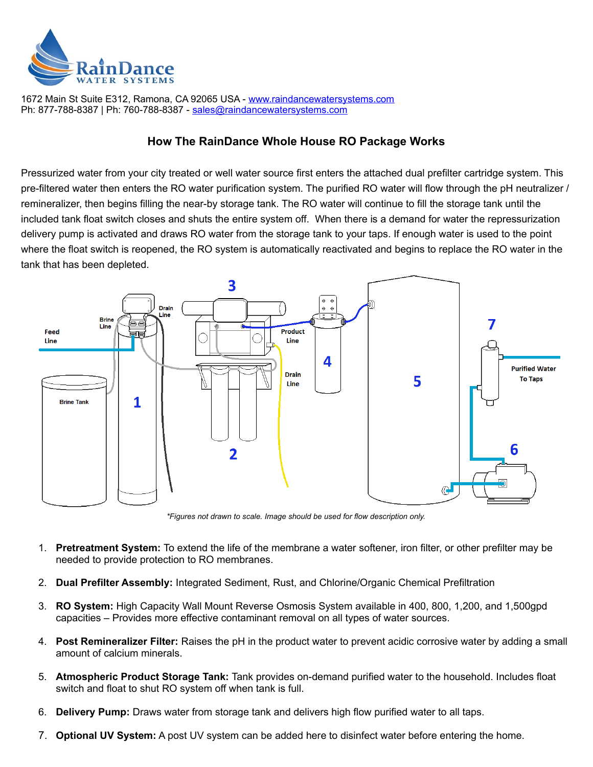

1672 Main St Suite E312, Ramona, CA 92065 USA - [www.raindancewatersystems.com](https://www.raindancewatersystems.com/) Ph: 877-788-8387 | Ph: 760-788-8387 - [s ales @raindancewatersystems.com](mailto:sales@raindancewatersystems.com)

#### **How The RainDance Whole House RO Package Works**

Pressurized water from your city treated or well water source first enters the attached dual prefilter cartridge system. This pre-filtered water then enters the RO water purification system. The purified RO water will flow through the pH neutralizer / remineralizer, then begins filling the near-by storage tank. The RO water will continue to fill the storage tank until the included tank float switch closes and shuts the entire system off. When there is a demand for water the repressurization delivery pump is activated and draws RO water from the storage tank to your taps. If enough water is used to the point where the float switch is reopened, the RO system is automatically reactivated and begins to replace the RO water in the tank that has been depleted.



*\*Figures not drawn to scale. Image should be used for flow description only.*

- 1. **Pretreatment System:** To extend the life of the membrane a water softener, iron filter, or other prefilter may be needed to provide protection to RO membranes.
- 2. **Dual Prefilter Assembly:** Integrated Sediment, Rust, and Chlorine/Organic Chemical Prefiltration
- 3. **RO System:** High Capacity Wall Mount Reverse Osmosis System available in 400, 800, 1,200, and 1,500gpd capacities – Provides more effective contaminant removal on all types of water sources.
- 4. **Post Remineralizer Filter:** Raises the pH in the product water to prevent acidic corrosive water by adding a small amount of calcium minerals.
- 5. **Atmospheric Product Storage Tank:** Tank provides on-demand purified water to the household. Includes float switch and float to shut RO system off when tank is full.
- 6. **Delivery Pump:** Draws water from storage tank and delivers high flow purified water to all taps.
- 7. **Optional UV System:** A post UV system can be added here to disinfect water before entering the home.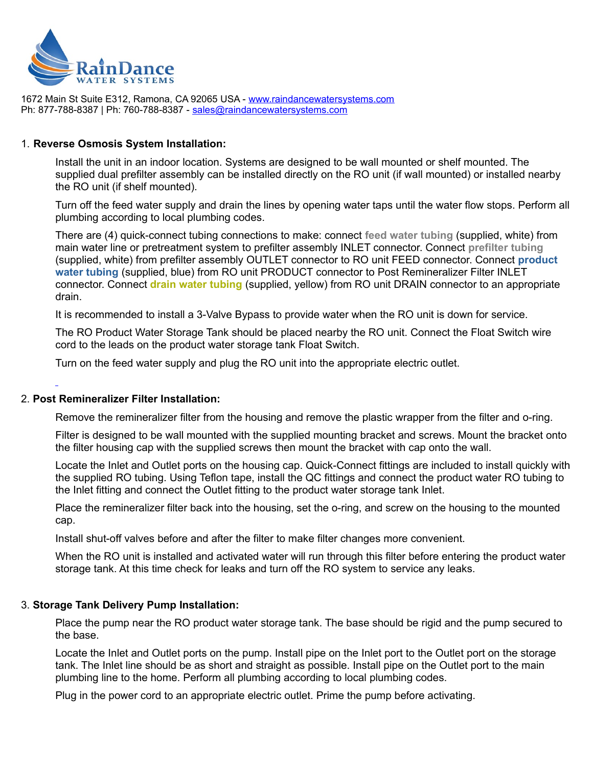

1672 Main St Suite E312, Ramona, CA 92065 USA - [www.raindancewatersystems.com](https://www.raindancewatersystems.com/) Ph: 877-788-8387 | Ph: 760-788-8387 - [s ales @raindancewatersystems.com](mailto:sales@raindancewatersystems.com)

#### 1. **Reverse Osmosis System Installation:**

Install the unit in an indoor location. Systems are designed to be wall mounted or shelf mounted. The supplied dual prefilter assembly can be installed directly on the RO unit (if wall mounted) or installed nearby the RO unit (if shelf mounted).

Turn off the feed water supply and drain the lines by opening water taps until the water flow stops. Perform all plumbing according to local plumbing codes.

There are (4) quick-connect tubing connections to make: connect **feed water tubing** (supplied, white) from main water line or pretreatment system to prefilter assembly INLET connector. Connect **prefilter tubing** (supplied, white) from prefilter assembly OUTLET connector to RO unit FEED connector. Connect **product water tubing** (supplied, blue) from RO unit PRODUCT connector to Post Remineralizer Filter INLET connector. Connect **drain water tubing** (supplied, yellow) from RO unit DRAIN connector to an appropriate drain.

It is recommended to install a 3-Valve Bypass to provide water when the RO unit is down for service.

The RO Product Water Storage Tank should be placed nearby the RO unit. Connect the Float Switch wire cord to the leads on the product water storage tank Float Switch.

Turn on the feed water supply and plug the RO unit into the appropriate electric outlet.

#### 2. **Post Remineralizer Filter Installation:**

Remove the remineralizer filter from the housing and remove the plastic wrapper from the filter and o-ring.

Filter is designed to be wall mounted with the supplied mounting bracket and screws. Mount the bracket onto the filter housing cap with the supplied screws then mount the bracket with cap onto the wall.

Locate the Inlet and Outlet ports on the housing cap. Quick-Connect fittings are included to install quickly with the supplied RO tubing. Using Teflon tape, install the QC fittings and connect the product water RO tubing to the Inlet fitting and connect the Outlet fitting to the product water storage tank Inlet.

Place the remineralizer filter back into the housing, set the o-ring, and screw on the housing to the mounted cap.

Install shut-off valves before and after the filter to make filter changes more convenient.

When the RO unit is installed and activated water will run through this filter before entering the product water storage tank. At this time check for leaks and turn off the RO system to service any leaks.

#### 3. **Storage Tank Delivery Pump Installation:**

Place the pump near the RO product water storage tank. The base should be rigid and the pump secured to the base.

Locate the Inlet and Outlet ports on the pump. Install pipe on the Inlet port to the Outlet port on the storage tank. The Inlet line should be as short and straight as possible. Install pipe on the Outlet port to the main plumbing line to the home. Perform all plumbing according to local plumbing codes.

Plug in the power cord to an appropriate electric outlet. Prime the pump before activating.